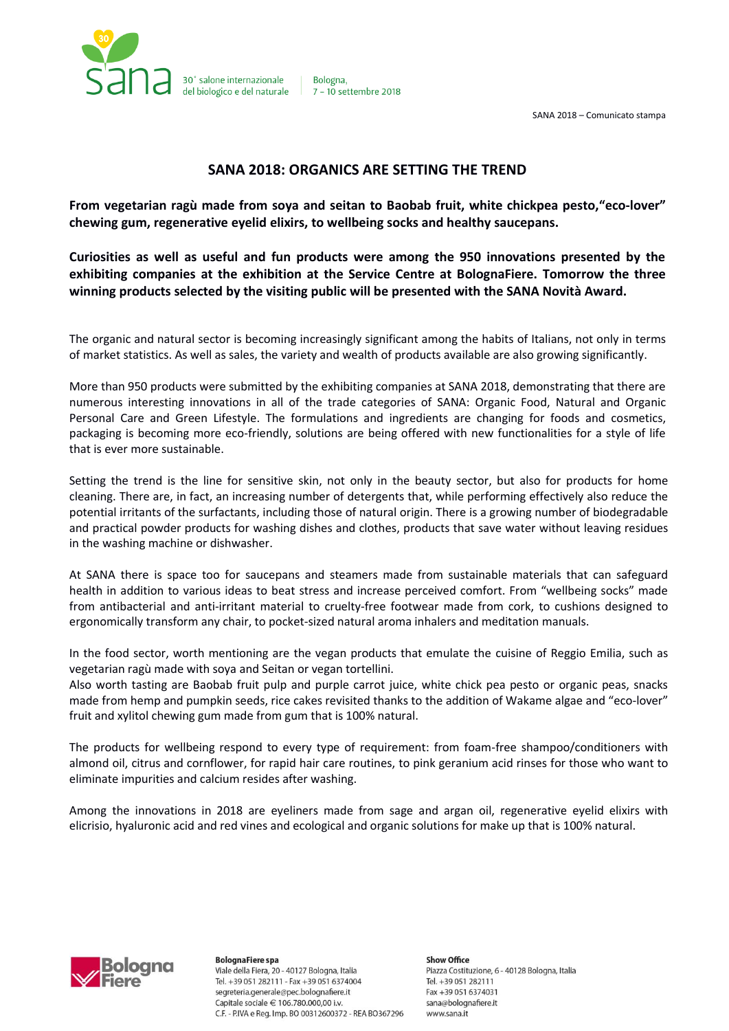

Bologna. 7 - 10 settembre 2018

SANA 2018 – Comunicato stampa

# **SANA 2018: ORGANICS ARE SETTING THE TREND**

**From vegetarian ragù made from soya and seitan to Baobab fruit, white chickpea pesto,"eco-lover" chewing gum, regenerative eyelid elixirs, to wellbeing socks and healthy saucepans.**

**Curiosities as well as useful and fun products were among the 950 innovations presented by the exhibiting companies at the exhibition at the Service Centre at BolognaFiere. Tomorrow the three winning products selected by the visiting public will be presented with the SANA Novità Award.**

The organic and natural sector is becoming increasingly significant among the habits of Italians, not only in terms of market statistics. As well as sales, the variety and wealth of products available are also growing significantly.

More than 950 products were submitted by the exhibiting companies at SANA 2018, demonstrating that there are numerous interesting innovations in all of the trade categories of SANA: Organic Food, Natural and Organic Personal Care and Green Lifestyle. The formulations and ingredients are changing for foods and cosmetics, packaging is becoming more eco-friendly, solutions are being offered with new functionalities for a style of life that is ever more sustainable.

Setting the trend is the line for sensitive skin, not only in the beauty sector, but also for products for home cleaning. There are, in fact, an increasing number of detergents that, while performing effectively also reduce the potential irritants of the surfactants, including those of natural origin. There is a growing number of biodegradable and practical powder products for washing dishes and clothes, products that save water without leaving residues in the washing machine or dishwasher.

At SANA there is space too for saucepans and steamers made from sustainable materials that can safeguard health in addition to various ideas to beat stress and increase perceived comfort. From "wellbeing socks" made from antibacterial and anti-irritant material to cruelty-free footwear made from cork, to cushions designed to ergonomically transform any chair, to pocket-sized natural aroma inhalers and meditation manuals.

In the food sector, worth mentioning are the vegan products that emulate the cuisine of Reggio Emilia, such as vegetarian ragù made with soya and Seitan or vegan tortellini.

Also worth tasting are Baobab fruit pulp and purple carrot juice, white chick pea pesto or organic peas, snacks made from hemp and pumpkin seeds, rice cakes revisited thanks to the addition of Wakame algae and "eco-lover" fruit and xylitol chewing gum made from gum that is 100% natural.

The products for wellbeing respond to every type of requirement: from foam-free shampoo/conditioners with almond oil, citrus and cornflower, for rapid hair care routines, to pink geranium acid rinses for those who want to eliminate impurities and calcium resides after washing.

Among the innovations in 2018 are eyeliners made from sage and argan oil, regenerative eyelid elixirs with elicrisio, hyaluronic acid and red vines and ecological and organic solutions for make up that is 100% natural.



**BolognaFiere** spa Viale della Fiera, 20 - 40127 Bologna, Italia Tel. +39 051 282111 - Fax +39 051 6374004 segreteria.generale@pec.bolognafiere.it Capitale sociale € 106.780.000,00 i.v. C.F. - P.IVA e Reg. Imp. BO 00312600372 - REA BO367296

**Show Office** Piazza Costituzione, 6 - 40128 Bologna, Italia Tel. +39 051 282111 Fax +39 051 6374031 sana@bolognafiere.it www.sana.it